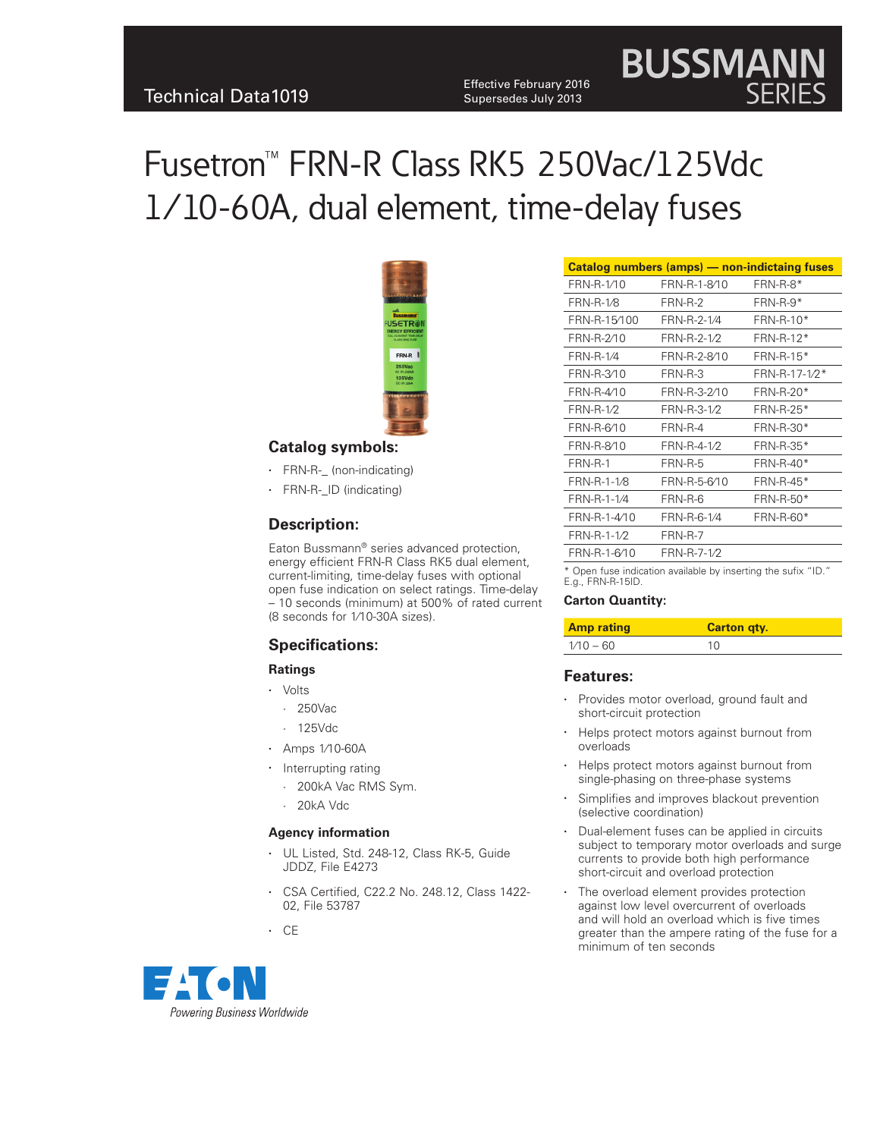Effective February 2016<br>Technical Data1019 Expersedes July 2013 Supersedes July 2013

# Fusetron™ FRN-R Class RK5 250Vac/125Vdc 1⁄10-60A, dual element, time-delay fuses



#### **Catalog symbols:**

- FRN-R-\_ (non-indicating)
- • FRN-R-\_ID (indicating)

#### **Description:**

Eaton Bussmann® series advanced protection, energy efficient FRN-R Class RK5 dual element, current-limiting, time-delay fuses with optional open fuse indication on select ratings. Time-delay – 10 seconds (minimum) at 500% of rated current (8 seconds for 1⁄10-30A sizes).

## **Specifications:**

#### **Ratings**

- • Volts
	- • 250Vac
	- • 125Vdc
- • Amps 1⁄10-60A
- Interrupting rating
	- • 200kA Vac RMS Sym.
	- 20kA Vdc

#### **Agency information**

- • UL Listed, Std. 248-12, Class RK-5, Guide JDDZ, File E4273
- CSA Certified, C22.2 No. 248.12, Class 1422-02, File 53787

• CE



|                  |              | <b>Catalog numbers (amps) - non-indictaing fuses</b> |
|------------------|--------------|------------------------------------------------------|
| FRN-R-1/10       | FRN-R-1-8/10 | FRN-R-8*                                             |
| <b>FRN-R-1/8</b> | FRN-R-2      | $FRN-R-9*$                                           |
| FRN-R-15/100     | FRN-R-2-1/4  | FRN-R-10*                                            |
| FRN-R-2/10       | FRN-R-2-1/2  | FRN-R-12*                                            |
| <b>FRN-R-1/4</b> | FRN-R-2-8/10 | FRN-R-15*                                            |
| FRN-R-3/10       | FRN-R-3      | FRN-R-17-1/2*                                        |
| FRN-R-4/10       | FRN-R-3-2/10 | FRN-R-20*                                            |
| <b>FRN-R-1/2</b> | FRN-R-3-1/2  | FRN-R-25*                                            |
| FRN-R-6/10       | FRN-R-4      | FRN-R-30*                                            |
| FRN-R-8/10       | FRN-R-4-1/2  | FRN-R-35*                                            |
| FRN-R-1          | FRN-R-5      | FRN-R-40*                                            |
| FRN-R-1-1/8      | FRN-R-5-6/10 | $FRN-R-45*$                                          |
| FRN-R-1-1/4      | FRN-R-6      | FRN-R-50*                                            |
| FRN-R-1-4/10     | FRN-R-6-1/4  | FRN-R-60*                                            |
| FRN-R-1-1/2      | FRN-R-7      |                                                      |
| FRN-R-1-6/10     | FRN-R-7-1/2  |                                                      |

**BUSSMAN** 

\* Open fuse indication available by inserting the sufix "ID." E.g., FRN-R-15ID.

#### **Carton Quantity:**

| <b>Amp rating</b> | <b>Carton gty.</b> |
|-------------------|--------------------|
| $1/10 - 60$       | 10                 |

#### **Features:**

- Provides motor overload, ground fault and short-circuit protection
- Helps protect motors against burnout from overloads
- Helps protect motors against burnout from single-phasing on three-phase systems
- Simplifies and improves blackout prevention (selective coordination)
- Dual-element fuses can be applied in circuits subject to temporary motor overloads and surge currents to provide both high performance short-circuit and overload protection
- The overload element provides protection against low level overcurrent of overloads and will hold an overload which is five times greater than the ampere rating of the fuse for a minimum of ten seconds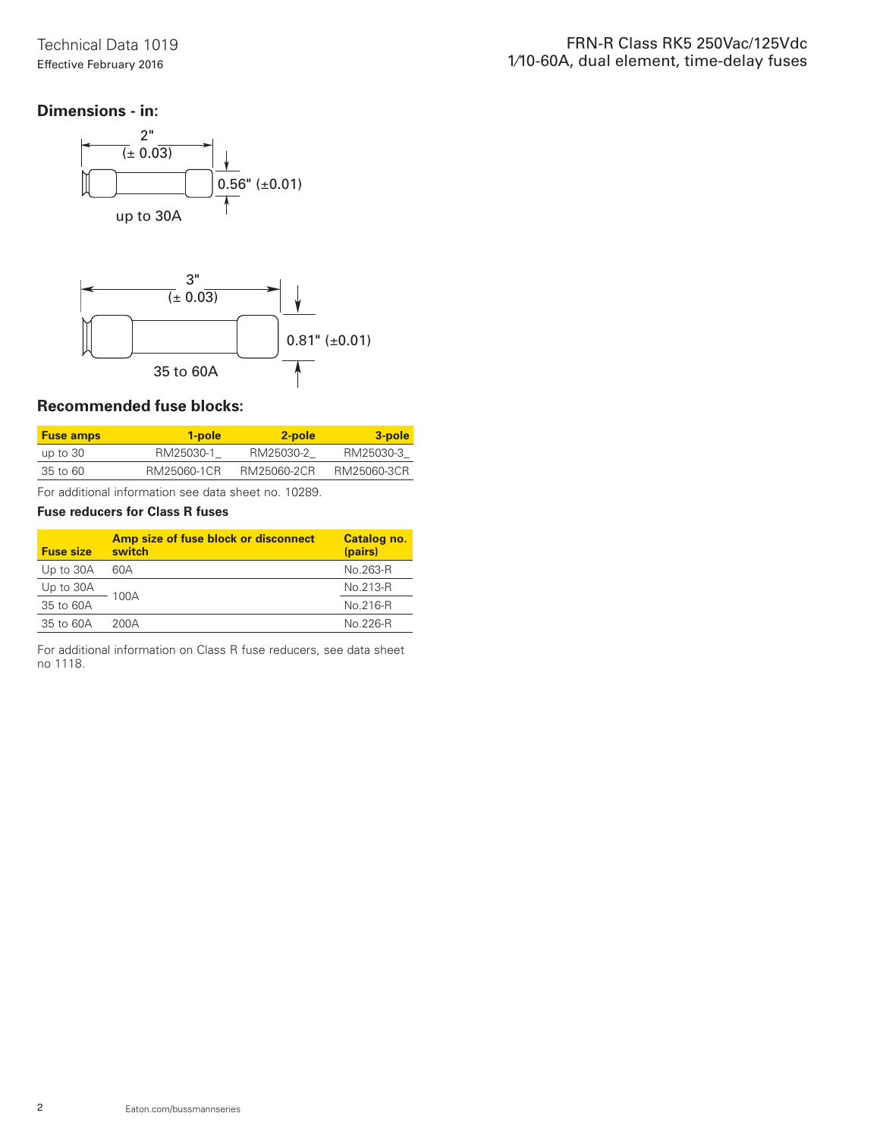# **Dimensions - in:**





# **Recommended fuse blocks:**

| <b>Fuse amps</b> | 1-pole      | 2-pole      | 3-pole      |
|------------------|-------------|-------------|-------------|
| up to $30$       | RM25030-1   | RM25030-2   | RM25030-3   |
| 35 to 60         | RM25060-1CR | RM25060-2CR | RM25060-3CR |

For additional information see data sheet no. 10289.

## **Fuse reducers for Class R fuses**

| <b>Fuse size</b> | Amp size of fuse block or disconnect<br>switch | Catalog no.<br>(pairs) |
|------------------|------------------------------------------------|------------------------|
| Up to 30A        | 60A                                            | No.263-R               |
| Up to 30A        |                                                | No.213-R               |
| 35 to 60A        | 100A                                           | No.216-R               |
| 35 to 60A        | 200A                                           | No 226-R               |

For additional information on Class R fuse reducers, see data sheet no 1118.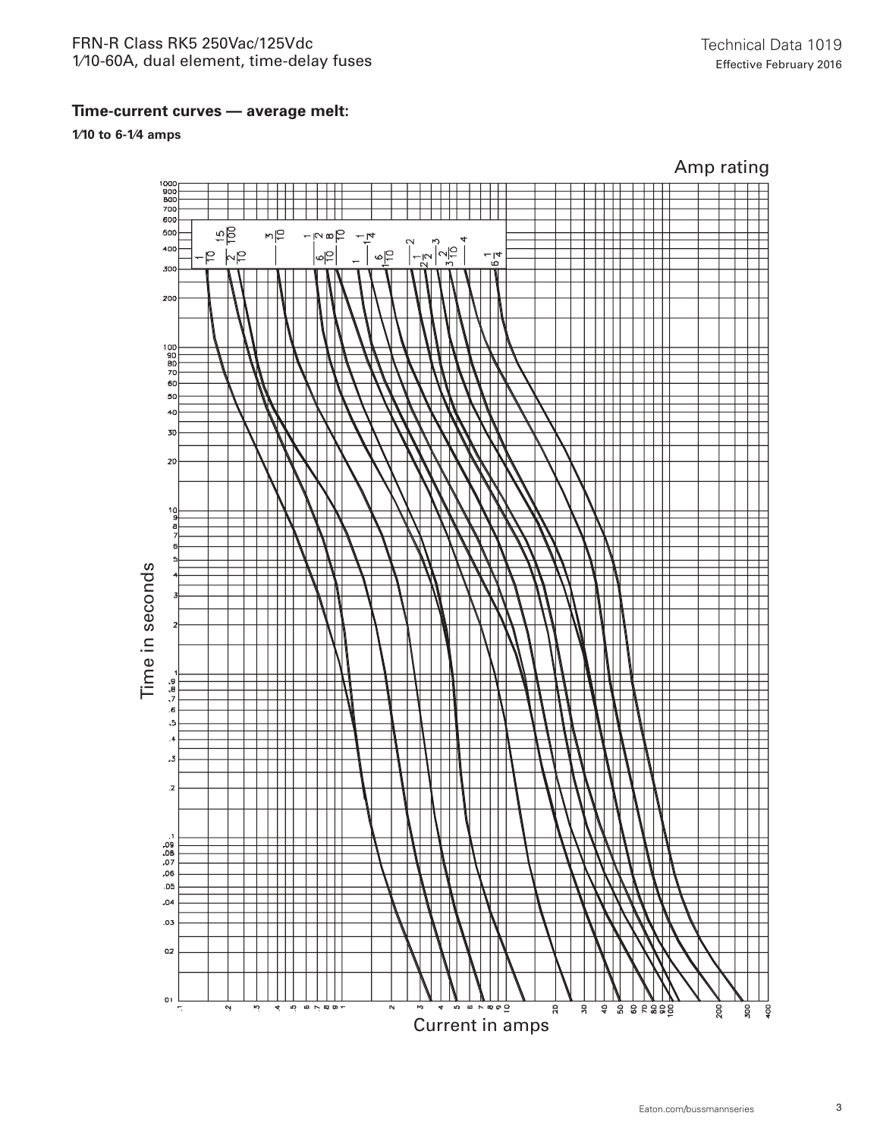# FRN-R Class RK5 250Vac/125Vdc 1⁄10-60A, dual element, time-delay fuses

**1⁄10 to 6-1⁄4 amps**

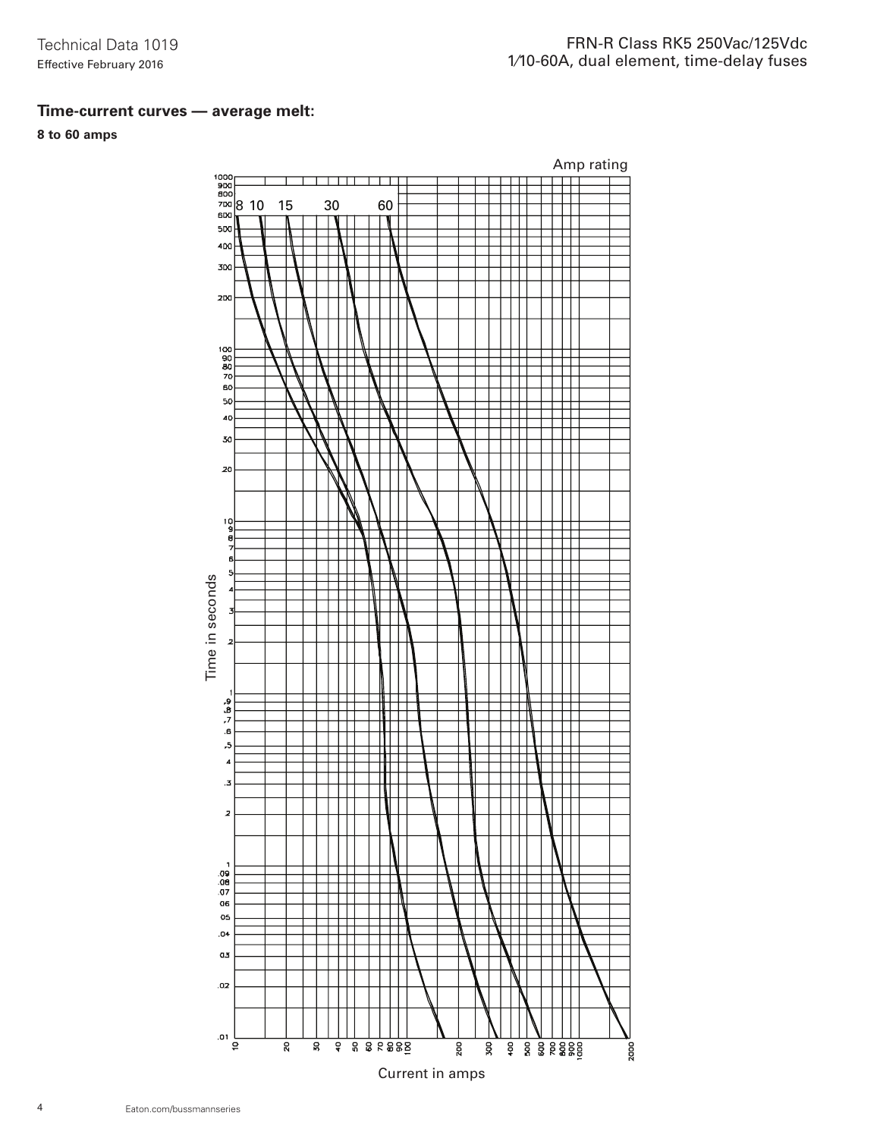# **Time-current curves — average melt:**

# **8 to 60 amps**

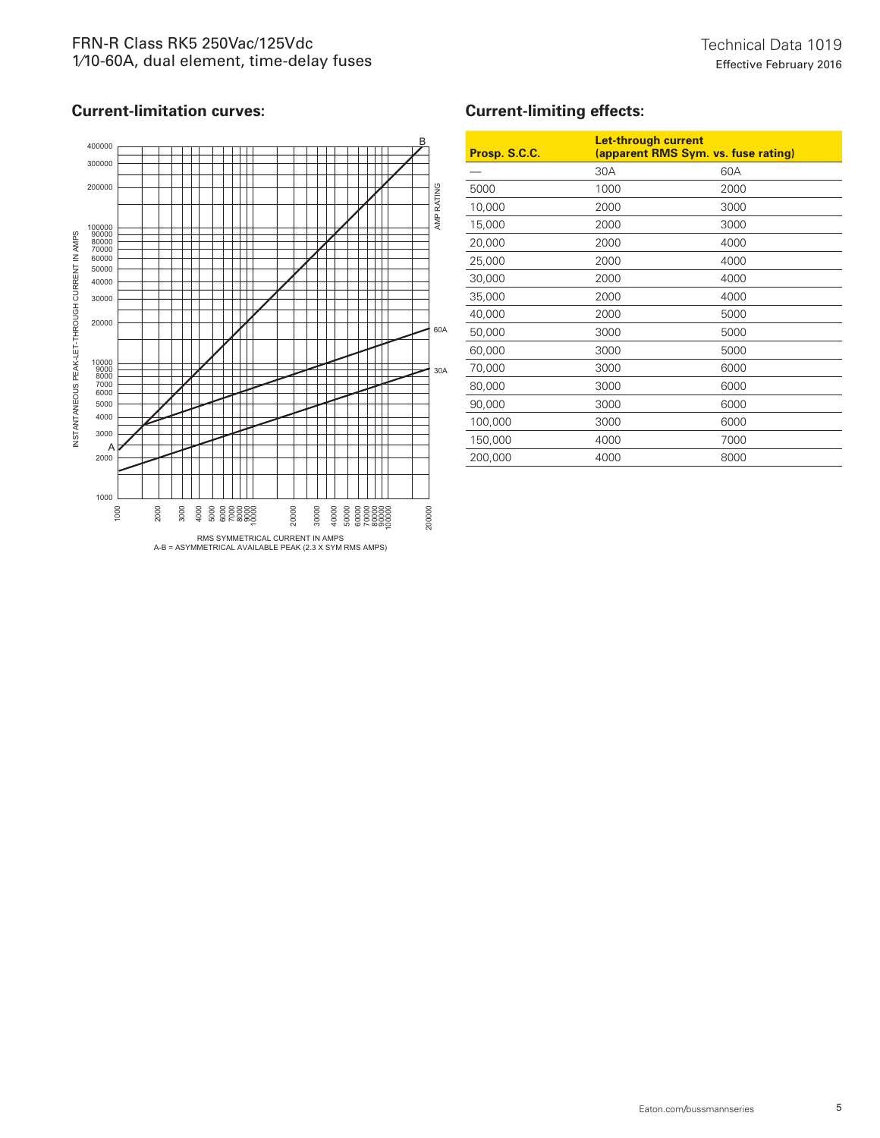

# **Current-limiting effects:**

| Prosp. S.C.C. |      | <b>Let-through current</b><br>(apparent RMS Sym. vs. fuse rating) |  |
|---------------|------|-------------------------------------------------------------------|--|
|               | 30A  | 60A                                                               |  |
| 5000          | 1000 | 2000                                                              |  |
| 10,000        | 2000 | 3000                                                              |  |
| 15,000        | 2000 | 3000                                                              |  |
| 20,000        | 2000 | 4000                                                              |  |
| 25,000        | 2000 | 4000                                                              |  |
| 30,000        | 2000 | 4000                                                              |  |
| 35,000        | 2000 | 4000                                                              |  |
| 40,000        | 2000 | 5000                                                              |  |
| 50,000        | 3000 | 5000                                                              |  |
| 60,000        | 3000 | 5000                                                              |  |
| 70,000        | 3000 | 6000                                                              |  |
| 80,000        | 3000 | 6000                                                              |  |
| 90,000        | 3000 | 6000                                                              |  |
| 100,000       | 3000 | 6000                                                              |  |
| 150,000       | 4000 | 7000                                                              |  |
| 200,000       | 4000 | 8000                                                              |  |